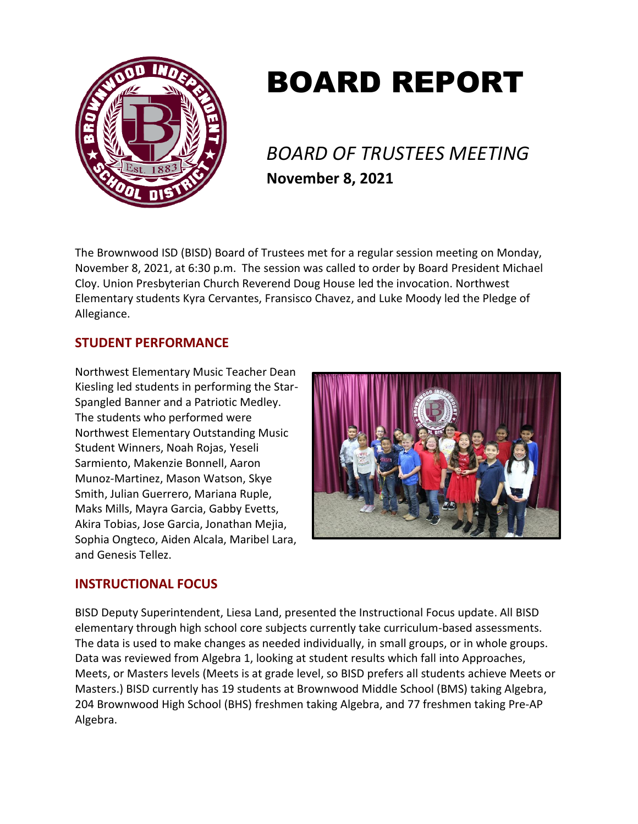

# BOARD REPORT

*BOARD OF TRUSTEES MEETING* **November 8, 2021**

The Brownwood ISD (BISD) Board of Trustees met for a regular session meeting on Monday, November 8, 2021, at 6:30 p.m. The session was called to order by Board President Michael Cloy. Union Presbyterian Church Reverend Doug House led the invocation. Northwest Elementary students Kyra Cervantes, Fransisco Chavez, and Luke Moody led the Pledge of Allegiance.

# **STUDENT PERFORMANCE**

Northwest Elementary Music Teacher Dean Kiesling led students in performing the Star-Spangled Banner and a Patriotic Medley. The students who performed were Northwest Elementary Outstanding Music Student Winners, Noah Rojas, Yeseli Sarmiento, Makenzie Bonnell, Aaron Munoz-Martinez, Mason Watson, Skye Smith, Julian Guerrero, Mariana Ruple, Maks Mills, Mayra Garcia, Gabby Evetts, Akira Tobias, Jose Garcia, Jonathan Mejia, Sophia Ongteco, Aiden Alcala, Maribel Lara, and Genesis Tellez.



# **INSTRUCTIONAL FOCUS**

BISD Deputy Superintendent, Liesa Land, presented the Instructional Focus update. All BISD elementary through high school core subjects currently take curriculum-based assessments. The data is used to make changes as needed individually, in small groups, or in whole groups. Data was reviewed from Algebra 1, looking at student results which fall into Approaches, Meets, or Masters levels (Meets is at grade level, so BISD prefers all students achieve Meets or Masters.) BISD currently has 19 students at Brownwood Middle School (BMS) taking Algebra, 204 Brownwood High School (BHS) freshmen taking Algebra, and 77 freshmen taking Pre-AP Algebra.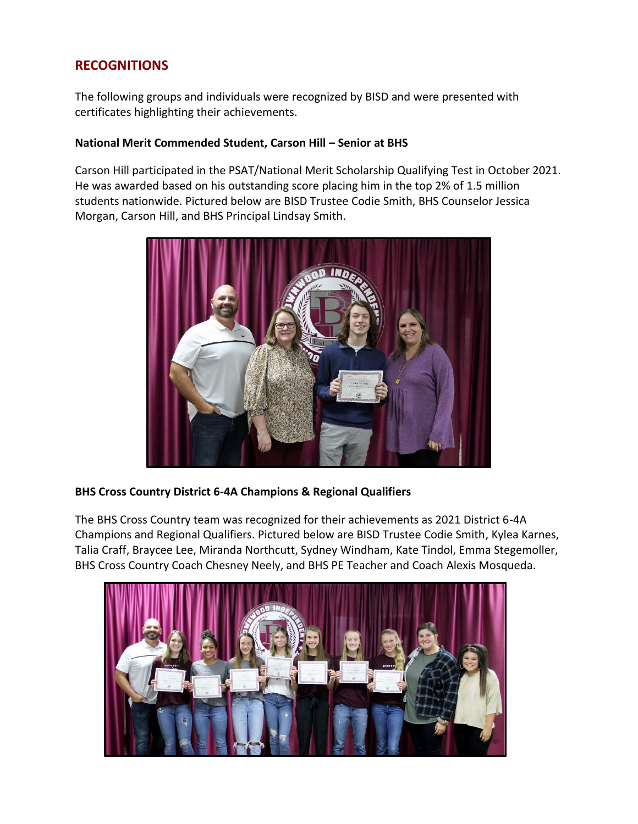# **RECOGNITIONS**

The following groups and individuals were recognized by BISD and were presented with certificates highlighting their achievements.

#### **National Merit Commended Student, Carson Hill – Senior at BHS**

Carson Hill participated in the PSAT/National Merit Scholarship Qualifying Test in October 2021. He was awarded based on his outstanding score placing him in the top 2% of 1.5 million students nationwide. Pictured below are BISD Trustee Codie Smith, BHS Counselor Jessica Morgan, Carson Hill, and BHS Principal Lindsay Smith.



### **BHS Cross Country District 6-4A Champions & Regional Qualifiers**

The BHS Cross Country team was recognized for their achievements as 2021 District 6-4A Champions and Regional Qualifiers. Pictured below are BISD Trustee Codie Smith, Kylea Karnes, Talia Craff, Braycee Lee, Miranda Northcutt, Sydney Windham, Kate Tindol, Emma Stegemoller, BHS Cross Country Coach Chesney Neely, and BHS PE Teacher and Coach Alexis Mosqueda.

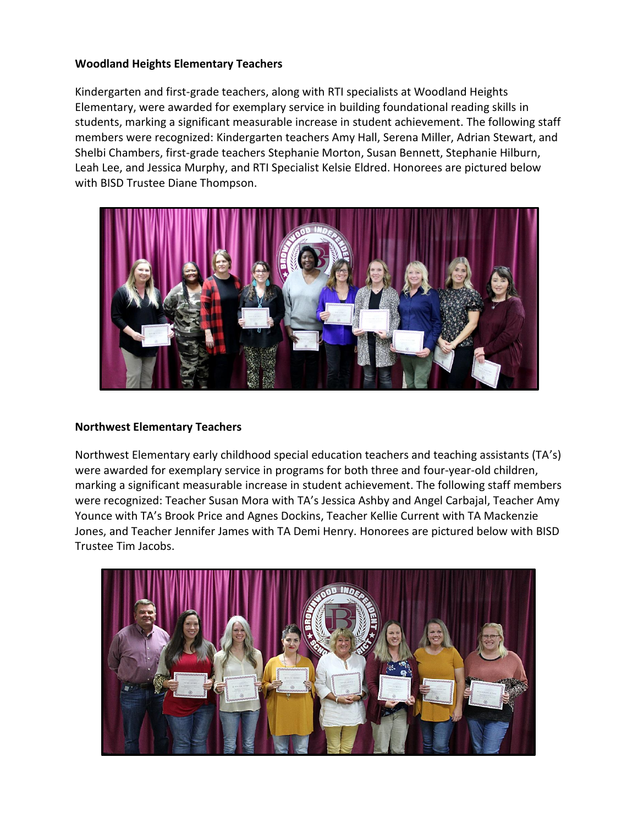#### **Woodland Heights Elementary Teachers**

Kindergarten and first-grade teachers, along with RTI specialists at Woodland Heights Elementary, were awarded for exemplary service in building foundational reading skills in students, marking a significant measurable increase in student achievement. The following staff members were recognized: Kindergarten teachers Amy Hall, Serena Miller, Adrian Stewart, and Shelbi Chambers, first-grade teachers Stephanie Morton, Susan Bennett, Stephanie Hilburn, Leah Lee, and Jessica Murphy, and RTI Specialist Kelsie Eldred. Honorees are pictured below with BISD Trustee Diane Thompson.



#### **Northwest Elementary Teachers**

Northwest Elementary early childhood special education teachers and teaching assistants (TA's) were awarded for exemplary service in programs for both three and four-year-old children, marking a significant measurable increase in student achievement. The following staff members were recognized: Teacher Susan Mora with TA's Jessica Ashby and Angel Carbajal, Teacher Amy Younce with TA's Brook Price and Agnes Dockins, Teacher Kellie Current with TA Mackenzie Jones, and Teacher Jennifer James with TA Demi Henry. Honorees are pictured below with BISD Trustee Tim Jacobs.

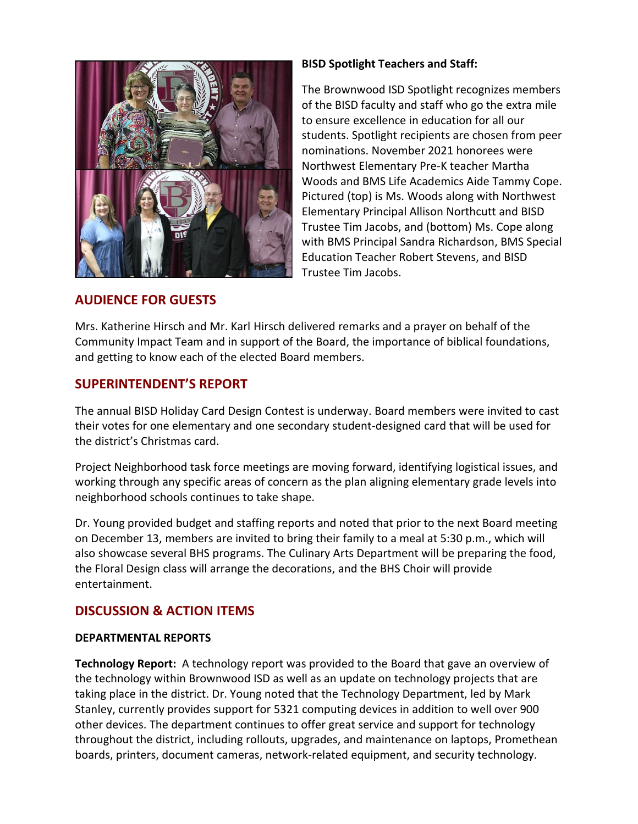

## **AUDIENCE FOR GUESTS**

#### **BISD Spotlight Teachers and Staff:**

The Brownwood ISD Spotlight recognizes members of the BISD faculty and staff who go the extra mile to ensure excellence in education for all our students. Spotlight recipients are chosen from peer nominations. November 2021 honorees were Northwest Elementary Pre-K teacher Martha Woods and BMS Life Academics Aide Tammy Cope. Pictured (top) is Ms. Woods along with Northwest Elementary Principal Allison Northcutt and BISD Trustee Tim Jacobs, and (bottom) Ms. Cope along with BMS Principal Sandra Richardson, BMS Special Education Teacher Robert Stevens, and BISD Trustee Tim Jacobs.

Mrs. Katherine Hirsch and Mr. Karl Hirsch delivered remarks and a prayer on behalf of the Community Impact Team and in support of the Board, the importance of biblical foundations, and getting to know each of the elected Board members.

## **SUPERINTENDENT'S REPORT**

The annual BISD Holiday Card Design Contest is underway. Board members were invited to cast their votes for one elementary and one secondary student-designed card that will be used for the district's Christmas card.

Project Neighborhood task force meetings are moving forward, identifying logistical issues, and working through any specific areas of concern as the plan aligning elementary grade levels into neighborhood schools continues to take shape.

Dr. Young provided budget and staffing reports and noted that prior to the next Board meeting on December 13, members are invited to bring their family to a meal at 5:30 p.m., which will also showcase several BHS programs. The Culinary Arts Department will be preparing the food, the Floral Design class will arrange the decorations, and the BHS Choir will provide entertainment.

# **DISCUSSION & ACTION ITEMS**

### **DEPARTMENTAL REPORTS**

**Technology Report:** A technology report was provided to the Board that gave an overview of the technology within Brownwood ISD as well as an update on technology projects that are taking place in the district. Dr. Young noted that the Technology Department, led by Mark Stanley, currently provides support for 5321 computing devices in addition to well over 900 other devices. The department continues to offer great service and support for technology throughout the district, including rollouts, upgrades, and maintenance on laptops, Promethean boards, printers, document cameras, network-related equipment, and security technology.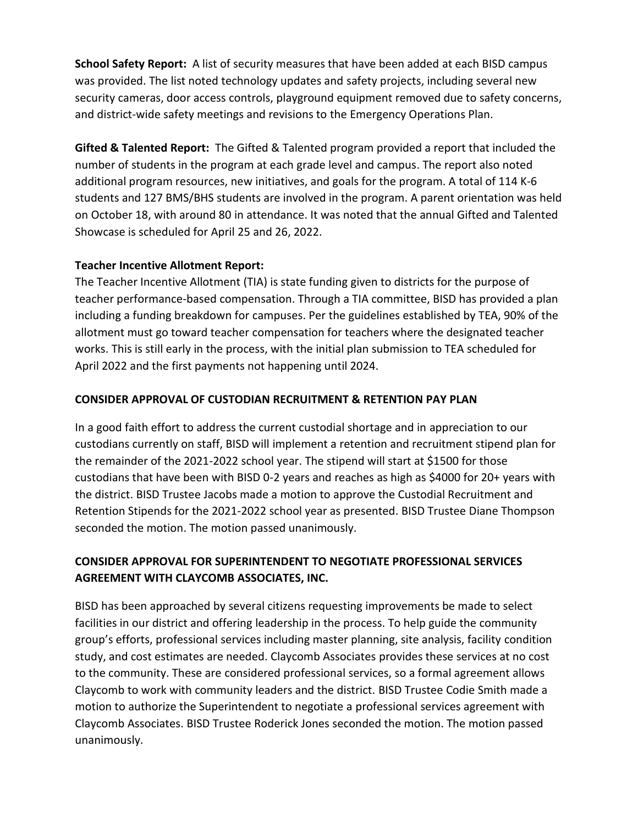**School Safety Report:** A list of security measures that have been added at each BISD campus was provided. The list noted technology updates and safety projects, including several new security cameras, door access controls, playground equipment removed due to safety concerns, and district-wide safety meetings and revisions to the Emergency Operations Plan.

**Gifted & Talented Report:** The Gifted & Talented program provided a report that included the number of students in the program at each grade level and campus. The report also noted additional program resources, new initiatives, and goals for the program. A total of 114 K-6 students and 127 BMS/BHS students are involved in the program. A parent orientation was held on October 18, with around 80 in attendance. It was noted that the annual Gifted and Talented Showcase is scheduled for April 25 and 26, 2022.

## **Teacher Incentive Allotment Report:**

The Teacher Incentive Allotment (TIA) is state funding given to districts for the purpose of teacher performance-based compensation. Through a TIA committee, BISD has provided a plan including a funding breakdown for campuses. Per the guidelines established by TEA, 90% of the allotment must go toward teacher compensation for teachers where the designated teacher works. This is still early in the process, with the initial plan submission to TEA scheduled for April 2022 and the first payments not happening until 2024.

## **CONSIDER APPROVAL OF CUSTODIAN RECRUITMENT & RETENTION PAY PLAN**

In a good faith effort to address the current custodial shortage and in appreciation to our custodians currently on staff, BISD will implement a retention and recruitment stipend plan for the remainder of the 2021-2022 school year. The stipend will start at \$1500 for those custodians that have been with BISD 0-2 years and reaches as high as \$4000 for 20+ years with the district. BISD Trustee Jacobs made a motion to approve the Custodial Recruitment and Retention Stipends for the 2021-2022 school year as presented. BISD Trustee Diane Thompson seconded the motion. The motion passed unanimously.

# **CONSIDER APPROVAL FOR SUPERINTENDENT TO NEGOTIATE PROFESSIONAL SERVICES AGREEMENT WITH CLAYCOMB ASSOCIATES, INC.**

BISD has been approached by several citizens requesting improvements be made to select facilities in our district and offering leadership in the process. To help guide the community group's efforts, professional services including master planning, site analysis, facility condition study, and cost estimates are needed. Claycomb Associates provides these services at no cost to the community. These are considered professional services, so a formal agreement allows Claycomb to work with community leaders and the district. BISD Trustee Codie Smith made a motion to authorize the Superintendent to negotiate a professional services agreement with Claycomb Associates. BISD Trustee Roderick Jones seconded the motion. The motion passed unanimously.